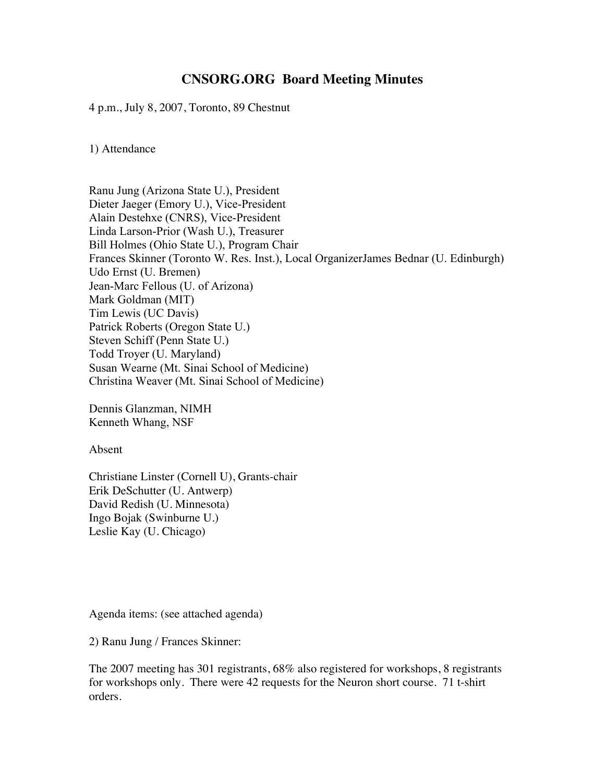# **CNSORG.ORG Board Meeting Minutes**

4 p.m., July 8, 2007, Toronto, 89 Chestnut

1) Attendance

Ranu Jung (Arizona State U.), President Dieter Jaeger (Emory U.), Vice-President Alain Destehxe (CNRS), Vice-President Linda Larson-Prior (Wash U.), Treasurer Bill Holmes (Ohio State U.), Program Chair Frances Skinner (Toronto W. Res. Inst.), Local OrganizerJames Bednar (U. Edinburgh) Udo Ernst (U. Bremen) Jean-Marc Fellous (U. of Arizona) Mark Goldman (MIT) Tim Lewis (UC Davis) Patrick Roberts (Oregon State U.) Steven Schiff (Penn State U.) Todd Troyer (U. Maryland) Susan Wearne (Mt. Sinai School of Medicine) Christina Weaver (Mt. Sinai School of Medicine)

Dennis Glanzman, NIMH Kenneth Whang, NSF

Absent

Christiane Linster (Cornell U), Grants-chair Erik DeSchutter (U. Antwerp) David Redish (U. Minnesota) Ingo Bojak (Swinburne U.) Leslie Kay (U. Chicago)

Agenda items: (see attached agenda)

2) Ranu Jung / Frances Skinner:

The 2007 meeting has 301 registrants, 68% also registered for workshops, 8 registrants for workshops only. There were 42 requests for the Neuron short course. 71 t-shirt orders.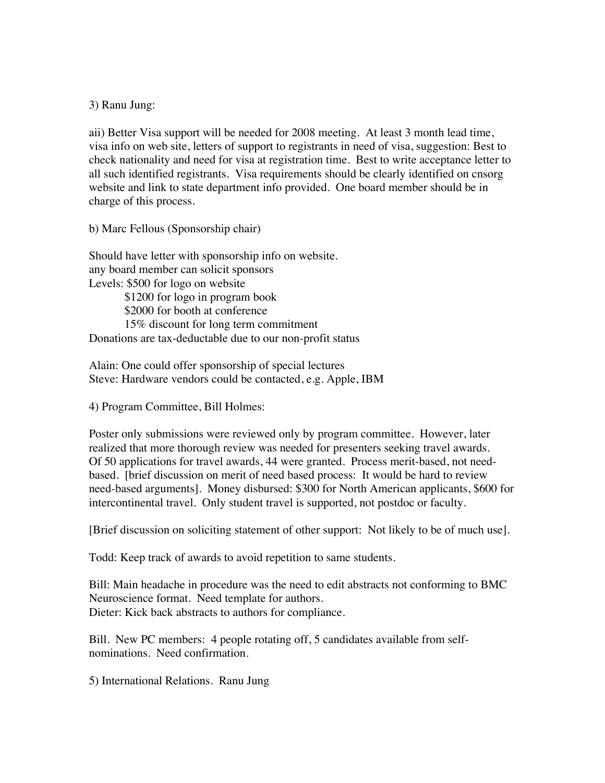#### 3) Ranu Jung:

aii) Better Visa support will be needed for 2008 meeting. At least 3 month lead time, visa info on web site, letters of support to registrants in need of visa, suggestion: Best to check nationality and need for visa at registration time. Best to write acceptance letter to all such identified registrants. Visa requirements should be clearly identified on cnsorg website and link to state department info provided. One board member should be in charge of this process.

b) Marc Fellous (Sponsorship chair)

Should have letter with sponsorship info on website. any board member can solicit sponsors Levels: \$500 for logo on website \$1200 for logo in program book

\$2000 for booth at conference

15% discount for long term commitment

Donations are tax-deductable due to our non-profit status

Alain: One could offer sponsorship of special lectures Steve: Hardware vendors could be contacted, e.g. Apple, IBM

4) Program Committee, Bill Holmes:

Poster only submissions were reviewed only by program committee. However, later realized that more thorough review was needed for presenters seeking travel awards. Of 50 applications for travel awards, 44 were granted. Process merit-based, not needbased. [brief discussion on merit of need based process: It would be hard to review need-based arguments]. Money disbursed: \$300 for North American applicants, \$600 for intercontinental travel. Only student travel is supported, not postdoc or faculty.

[Brief discussion on soliciting statement of other support: Not likely to be of much use].

Todd: Keep track of awards to avoid repetition to same students.

Bill: Main headache in procedure was the need to edit abstracts not conforming to BMC Neuroscience format. Need template for authors. Dieter: Kick back abstracts to authors for compliance.

Bill. New PC members: 4 people rotating off, 5 candidates available from selfnominations. Need confirmation.

5) International Relations. Ranu Jung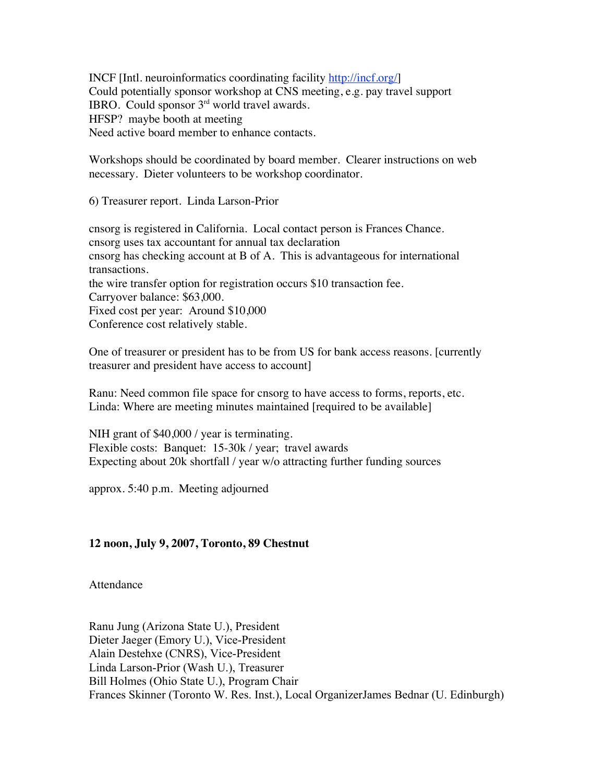INCF [Intl. neuroinformatics coordinating facility http://incf.org/] Could potentially sponsor workshop at CNS meeting, e.g. pay travel support IBRO. Could sponsor 3rd world travel awards. HFSP? maybe booth at meeting Need active board member to enhance contacts.

Workshops should be coordinated by board member. Clearer instructions on web necessary. Dieter volunteers to be workshop coordinator.

6) Treasurer report. Linda Larson-Prior

cnsorg is registered in California. Local contact person is Frances Chance. cnsorg uses tax accountant for annual tax declaration cnsorg has checking account at B of A. This is advantageous for international transactions. the wire transfer option for registration occurs \$10 transaction fee. Carryover balance: \$63,000. Fixed cost per year: Around \$10,000 Conference cost relatively stable.

One of treasurer or president has to be from US for bank access reasons. [currently treasurer and president have access to account]

Ranu: Need common file space for cnsorg to have access to forms, reports, etc. Linda: Where are meeting minutes maintained [required to be available]

NIH grant of \$40,000 / year is terminating. Flexible costs: Banquet: 15-30k / year; travel awards Expecting about 20k shortfall / year w/o attracting further funding sources

approx. 5:40 p.m. Meeting adjourned

### **12 noon, July 9, 2007, Toronto, 89 Chestnut**

Attendance

Ranu Jung (Arizona State U.), President Dieter Jaeger (Emory U.), Vice-President Alain Destehxe (CNRS), Vice-President Linda Larson-Prior (Wash U.), Treasurer Bill Holmes (Ohio State U.), Program Chair Frances Skinner (Toronto W. Res. Inst.), Local OrganizerJames Bednar (U. Edinburgh)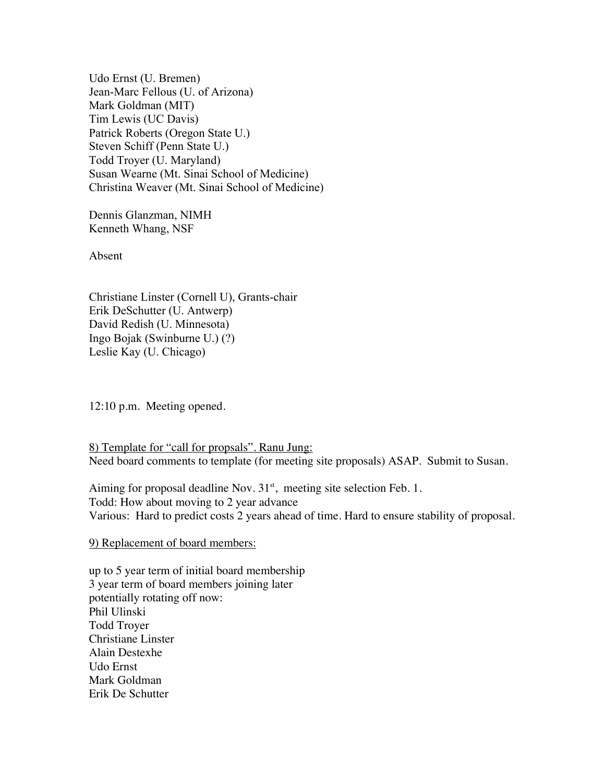Udo Ernst (U. Bremen) Jean-Marc Fellous (U. of Arizona) Mark Goldman (MIT) Tim Lewis (UC Davis) Patrick Roberts (Oregon State U.) Steven Schiff (Penn State U.) Todd Troyer (U. Maryland) Susan Wearne (Mt. Sinai School of Medicine) Christina Weaver (Mt. Sinai School of Medicine)

Dennis Glanzman, NIMH Kenneth Whang, NSF

Absent

Christiane Linster (Cornell U), Grants-chair Erik DeSchutter (U. Antwerp) David Redish (U. Minnesota) Ingo Bojak (Swinburne U.) (?) Leslie Kay (U. Chicago)

12:10 p.m. Meeting opened.

8) Template for "call for propsals". Ranu Jung: Need board comments to template (for meeting site proposals) ASAP. Submit to Susan.

Aiming for proposal deadline Nov.  $31<sup>st</sup>$ , meeting site selection Feb. 1. Todd: How about moving to 2 year advance Various: Hard to predict costs 2 years ahead of time. Hard to ensure stability of proposal.

#### 9) Replacement of board members:

up to 5 year term of initial board membership 3 year term of board members joining later potentially rotating off now: Phil Ulinski Todd Troyer Christiane Linster Alain Destexhe Udo Ernst Mark Goldman Erik De Schutter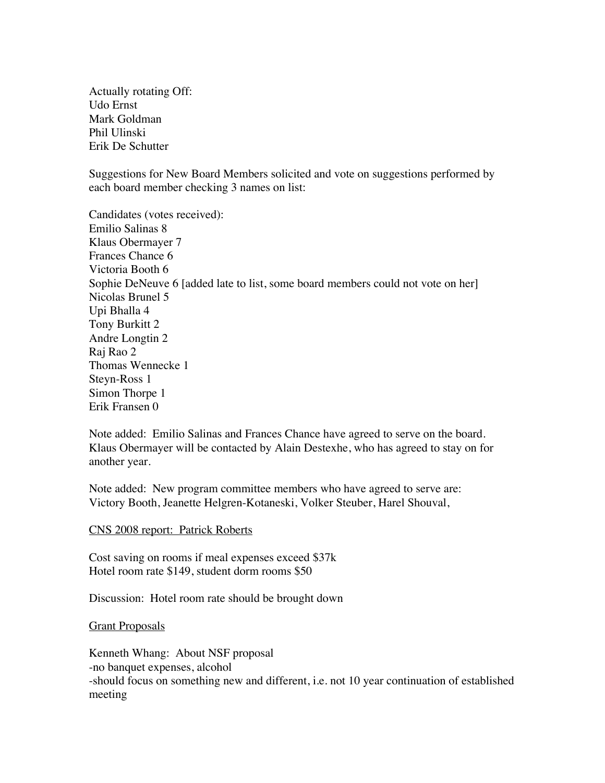Actually rotating Off: Udo Ernst Mark Goldman Phil Ulinski Erik De Schutter

Suggestions for New Board Members solicited and vote on suggestions performed by each board member checking 3 names on list:

Candidates (votes received): Emilio Salinas 8 Klaus Obermayer 7 Frances Chance 6 Victoria Booth 6 Sophie DeNeuve 6 [added late to list, some board members could not vote on her] Nicolas Brunel 5 Upi Bhalla 4 Tony Burkitt 2 Andre Longtin 2 Raj Rao 2 Thomas Wennecke 1 Steyn-Ross 1 Simon Thorpe 1 Erik Fransen 0

Note added: Emilio Salinas and Frances Chance have agreed to serve on the board. Klaus Obermayer will be contacted by Alain Destexhe, who has agreed to stay on for another year.

Note added: New program committee members who have agreed to serve are: Victory Booth, Jeanette Helgren-Kotaneski, Volker Steuber, Harel Shouval,

CNS 2008 report: Patrick Roberts

Cost saving on rooms if meal expenses exceed \$37k Hotel room rate \$149, student dorm rooms \$50

Discussion: Hotel room rate should be brought down

Grant Proposals

Kenneth Whang: About NSF proposal -no banquet expenses, alcohol -should focus on something new and different, i.e. not 10 year continuation of established meeting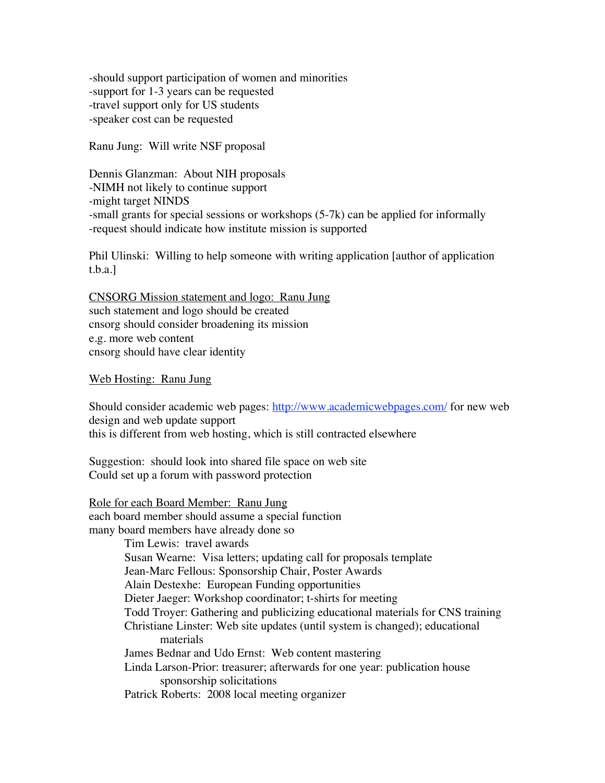-should support participation of women and minorities -support for 1-3 years can be requested -travel support only for US students -speaker cost can be requested

Ranu Jung: Will write NSF proposal

Dennis Glanzman: About NIH proposals -NIMH not likely to continue support -might target NINDS -small grants for special sessions or workshops (5-7k) can be applied for informally -request should indicate how institute mission is supported

Phil Ulinski: Willing to help someone with writing application [author of application t.b.a.]

CNSORG Mission statement and logo: Ranu Jung such statement and logo should be created cnsorg should consider broadening its mission e.g. more web content cnsorg should have clear identity

Web Hosting: Ranu Jung

Should consider academic web pages: http://www.academicwebpages.com/ for new web design and web update support this is different from web hosting, which is still contracted elsewhere

Suggestion: should look into shared file space on web site Could set up a forum with password protection

Role for each Board Member: Ranu Jung each board member should assume a special function many board members have already done so Tim Lewis: travel awards Susan Wearne: Visa letters; updating call for proposals template Jean-Marc Fellous: Sponsorship Chair, Poster Awards Alain Destexhe: European Funding opportunities Dieter Jaeger: Workshop coordinator; t-shirts for meeting Todd Troyer: Gathering and publicizing educational materials for CNS training Christiane Linster: Web site updates (until system is changed); educational materials James Bednar and Udo Ernst: Web content mastering Linda Larson-Prior: treasurer; afterwards for one year: publication house sponsorship solicitations Patrick Roberts: 2008 local meeting organizer